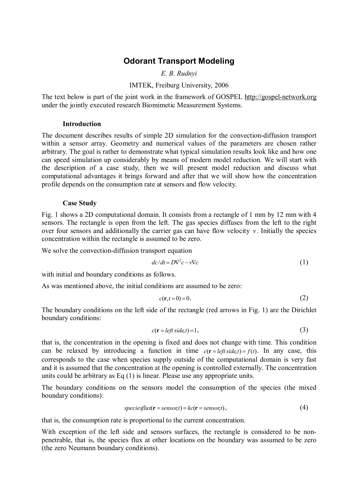# **Odorant Transport Modeling**

*E. B. Rudnyi* 

# IMTEK, Freiburg University, 2006

The text below is part of the joint work in the framework of GOSPEL <http://gospel-network.org> under the jointly executed research Biomimetic Measurement Systems.

#### **Introduction**

The document describes results of simple 2D simulation for the convection-diffusion transport within a sensor array. Geometry and numerical values of the parameters are chosen rather arbitrary. The goal is rather to demonstrate what typical simulation results look like and how one can speed simulation up considerably by means of modern model reduction. We will start with the description of a case study, then we will present model reduction and discuss what computational advantages it brings forward and after that we will show how the concentration profile depends on the consumption rate at sensors and flow velocity.

## **Case Study**

Fig. 1 shows a 2D computational domain. It consists from a rectangle of 1 mm by 12 mm with 4 sensors. The rectangle is open from the left. The gas species diffuses from the left to the right over four sensors and additionally the carrier gas can have flow velocity *v*. Initially the species concentration within the rectangle is assumed to be zero.

We solve the convection-diffusion transport equation

$$
dc/dt = D\nabla^2 c - v\nabla c \tag{1}
$$

with initial and boundary conditions as follows.

As was mentioned above, the initial conditions are assumed to be zero:

$$
c(\mathbf{r},t=0)=0.\tag{2}
$$

The boundary conditions on the left side of the rectangle (red arrows in Fig. 1) are the Dirichlet boundary conditions:

$$
c(\mathbf{r} = left \, side, t) = 1,\tag{3}
$$

that is, the concentration in the opening is fixed and does not change with time. This condition can be relaxed by introducing a function in time  $c(\mathbf{r} = \text{left} \cdot \text{side}, t) = f(t)$ . In any case, this corresponds to the case when species supply outside of the computational domain is very fast and it is assumed that the concentration at the opening is controlled externally. The concentration units could be arbitrary as Eq (1) is linear. Please use any appropriate units.

The boundary conditions on the sensors model the consumption of the species (the mixed boundary conditions):

$$
species flux(\mathbf{r} = sensor, t) = kc(\mathbf{r} = sensor, t),
$$
\n(4)

that is, the consumption rate is proportional to the current concentration.

With exception of the left side and sensors surfaces, the rectangle is considered to be nonpenetrable, that is, the species flux at other locations on the boundary was assumed to be zero (the zero Neumann boundary conditions).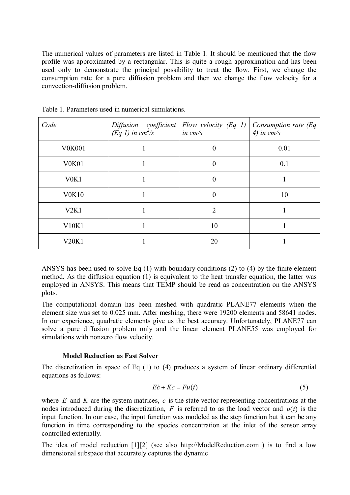The numerical values of parameters are listed in Table 1. It should be mentioned that the flow profile was approximated by a rectangular. This is quite a rough approximation and has been used only to demonstrate the principal possibility to treat the flow. First, we change the consumption rate for a pure diffusion problem and then we change the flow velocity for a convection-diffusion problem.

| Code                           | Diffusion coefficient<br>(Eq 1) in cm <sup>2</sup> /s | Flow velocity (Eq 1)<br>in $cm/s$ | Consumption rate $(Eq)$<br>4) in $cm/s$ |
|--------------------------------|-------------------------------------------------------|-----------------------------------|-----------------------------------------|
| <b>V0K001</b>                  |                                                       | $\overline{0}$                    | 0.01                                    |
| V <sub>0</sub> K <sub>01</sub> |                                                       | $\overline{0}$                    | 0.1                                     |
| V <sub>0</sub> K <sub>1</sub>  |                                                       | $\overline{0}$                    |                                         |
| <b>V0K10</b>                   |                                                       | $\overline{0}$                    | 10                                      |
| V2K1                           |                                                       | $\overline{2}$                    |                                         |
| V10K1                          |                                                       | 10                                |                                         |
| V20K1                          |                                                       | 20                                |                                         |

Table 1. Parameters used in numerical simulations.

ANSYS has been used to solve Eq (1) with boundary conditions (2) to (4) by the finite element method. As the diffusion equation (1) is equivalent to the heat transfer equation, the latter was employed in ANSYS. This means that TEMP should be read as concentration on the ANSYS plots.

The computational domain has been meshed with quadratic PLANE77 elements when the element size was set to 0.025 mm. After meshing, there were 19200 elements and 58641 nodes. In our experience, quadratic elements give us the best accuracy. Unfortunately, PLANE77 can solve a pure diffusion problem only and the linear element PLANE55 was employed for simulations with nonzero flow velocity.

## **Model Reduction as Fast Solver**

The discretization in space of Eq (1) to (4) produces a system of linear ordinary differential equations as follows:

$$
E\dot{c} + Kc = Fu(t) \tag{5}
$$

where *E* and *K* are the system matrices, *c* is the state vector representing concentrations at the nodes introduced during the discretization,  $F$  is referred to as the load vector and  $u(t)$  is the input function. In our case, the input function was modeled as the step function but it can be any function in time corresponding to the species concentration at the inlet of the sensor array controlled externally.

The idea of model reduction [1][2] (see also <http://ModelReduction.com> ) is to find a low dimensional subspace that accurately captures the dynamic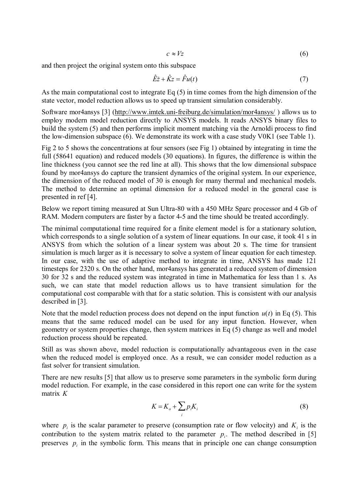$$
c \approx Vz \tag{6}
$$

and then project the original system onto this subspace

$$
\hat{E}\dot{z} + \hat{K}z = \hat{F}u(t) \tag{7}
$$

As the main computational cost to integrate Eq (5) in time comes from the high dimension of the state vector, model reduction allows us to speed up transient simulation considerably.

Software mor4ansys [3] [\(http://www.imtek.uni-freiburg.de/simulation/mor4ansys/](http://www.imtek.uni-freiburg.de/simulation/mor4ansys/) ) allows us to employ modern model reduction directly to ANSYS models. It reads ANSYS binary files to build the system (5) and then performs implicit moment matching via the Arnoldi process to find the low-dimension subspace (6). We demonstrate its work with a case study V0K1 (see Table 1).

Fig 2 to 5 shows the concentrations at four sensors (see Fig 1) obtained by integrating in time the full (58641 equation) and reduced models (30 equations). In figures, the difference is within the line thickness (you cannot see the red line at all). This shows that the low dimensional subspace found by mor4ansys do capture the transient dynamics of the original system. In our experience, the dimension of the reduced model of 30 is enough for many thermal and mechanical models. The method to determine an optimal dimension for a reduced model in the general case is presented in ref [4].

Below we report timing measured at Sun Ultra-80 with a 450 MHz Sparc processor and 4 Gb of RAM. Modern computers are faster by a factor 4-5 and the time should be treated accordingly.

The minimal computational time required for a finite element model is for a stationary solution, which corresponds to a single solution of a system of linear equations. In our case, it took 41 s in ANSYS from which the solution of a linear system was about 20 s. The time for transient simulation is much larger as it is necessary to solve a system of linear equation for each timestep. In our case, with the use of adaptive method to integrate in time, ANSYS has made 121 timesteps for 2320 s. On the other hand, mor4ansys has generated a reduced system of dimension 30 for 32 s and the reduced system was integrated in time in Mathematica for less than 1 s. As such, we can state that model reduction allows us to have transient simulation for the computational cost comparable with that for a static solution. This is consistent with our analysis described in [3].

Note that the model reduction process does not depend on the input function  $u(t)$  in Eq (5). This means that the same reduced model can be used for any input function. However, when geometry or system properties change, then system matrices in Eq (5) change as well and model reduction process should be repeated.

Still as was shown above, model reduction is computationally advantageous even in the case when the reduced model is employed once. As a result, we can consider model reduction as a fast solver for transient simulation.

There are new results [5] that allow us to preserve some parameters in the symbolic form during model reduction. For example, in the case considered in this report one can write for the system matrix *K*

$$
K = K_o + \sum_i p_i K_i \tag{8}
$$

where  $p_i$  is the scalar parameter to preserve (consumption rate or flow velocity) and  $K_i$  is the contribution to the system matrix related to the parameter  $p_i$ . The method described in [5] preserves  $p_i$  in the symbolic form. This means that in principle one can change consumption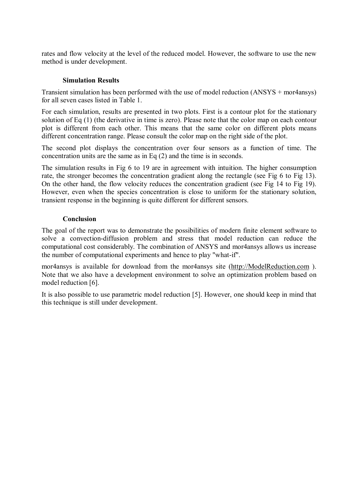rates and flow velocity at the level of the reduced model. However, the software to use the new method is under development.

# **Simulation Results**

Transient simulation has been performed with the use of model reduction (ANSYS + mor4ansys) for all seven cases listed in Table 1.

For each simulation, results are presented in two plots. First is a contour plot for the stationary solution of Eq (1) (the derivative in time is zero). Please note that the color map on each contour plot is different from each other. This means that the same color on different plots means different concentration range. Please consult the color map on the right side of the plot.

The second plot displays the concentration over four sensors as a function of time. The concentration units are the same as in Eq (2) and the time is in seconds.

The simulation results in Fig 6 to 19 are in agreement with intuition. The higher consumption rate, the stronger becomes the concentration gradient along the rectangle (see Fig 6 to Fig 13). On the other hand, the flow velocity reduces the concentration gradient (see Fig 14 to Fig 19). However, even when the species concentration is close to uniform for the stationary solution, transient response in the beginning is quite different for different sensors.

# **Conclusion**

The goal of the report was to demonstrate the possibilities of modern finite element software to solve a convection-diffusion problem and stress that model reduction can reduce the computational cost considerably. The combination of ANSYS and mor4ansys allows us increase the number of computational experiments and hence to play "what-if".

mor4ansys is available for download from the mor4ansys site [\(http://ModelReduction.com](http://ModelReduction.com) ). Note that we also have a development environment to solve an optimization problem based on model reduction [6].

It is also possible to use parametric model reduction [5]. However, one should keep in mind that this technique is still under development.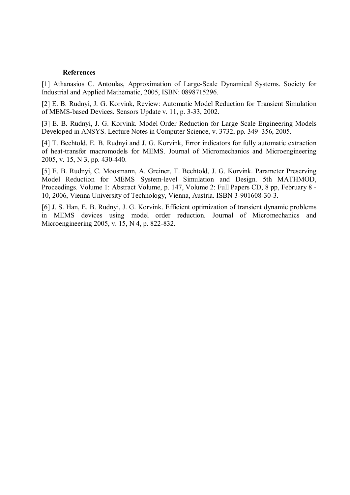#### **References**

[1] Athanasios C. Antoulas, Approximation of Large-Scale Dynamical Systems. Society for Industrial and Applied Mathematic, 2005, ISBN: 0898715296.

[2] E. B. Rudnyi, J. G. Korvink, Review: Automatic Model Reduction for Transient Simulation of MEMS-based Devices. Sensors Update v. 11, p. 3-33, 2002.

[3] E. B. Rudnyi, J. G. Korvink. Model Order Reduction for Large Scale Engineering Models Developed in ANSYS. Lecture Notes in Computer Science, v. 3732, pp. 349–356, 2005.

[4] T. Bechtold, E. B. Rudnyi and J. G. Korvink, Error indicators for fully automatic extraction of heat-transfer macromodels for MEMS. Journal of Micromechanics and Microengineering 2005, v. 15, N 3, pp. 430-440.

[5] E. B. Rudnyi, C. Moosmann, A. Greiner, T. Bechtold, J. G. Korvink. Parameter Preserving Model Reduction for MEMS System-level Simulation and Design. 5th MATHMOD, Proceedings. Volume 1: Abstract Volume, p. 147, Volume 2: Full Papers CD, 8 pp, February 8 - 10, 2006, Vienna University of Technology, Vienna, Austria. ISBN 3-901608-30-3.

[6] J. S. Han, E. B. Rudnyi, J. G. Korvink. Efficient optimization of transient dynamic problems in MEMS devices using model order reduction. Journal of Micromechanics and Microengineering 2005, v. 15, N 4, p. 822-832.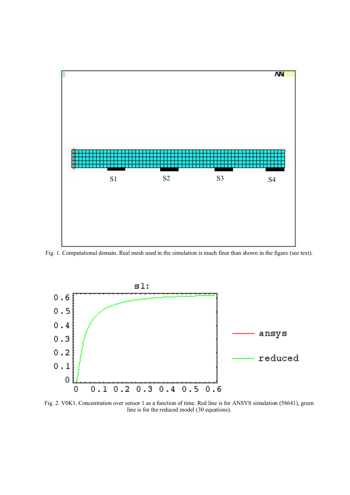

Fig. 1. Computational domain. Real mesh used in the simulation is much finer than shown in the figure (see text).



Fig. 2. V0K1. Concentration over sensor 1 as a function of time. Red line is for ANSYS simulation (58641), green line is for the reduced model (30 equations).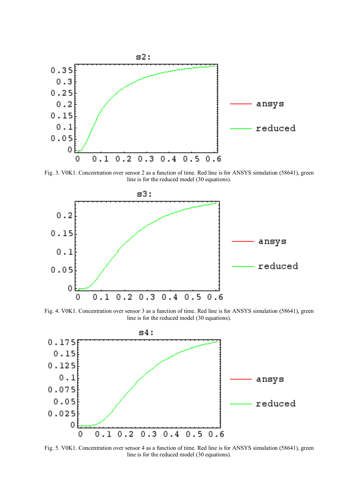

Fig. 3. V0K1. Concentration over sensor 2 as a function of time. Red line is for ANSYS simulation (58641), green line is for the reduced model (30 equations).



Fig. 4. V0K1. Concentration over sensor 3 as a function of time. Red line is for ANSYS simulation (58641), green line is for the reduced model (30 equations).



Fig. 5. V0K1. Concentration over sensor 4 as a function of time. Red line is for ANSYS simulation (58641), green line is for the reduced model (30 equations).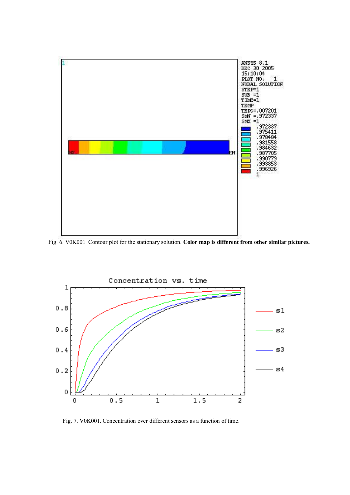

Fig. 6. V0K001. Contour plot for the stationary solution. **Color map is different from other similar pictures.**



Fig. 7. V0K001. Concentration over different sensors as a function of time.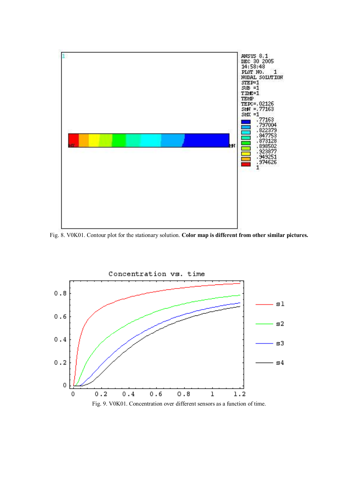

Fig. 8. V0K01. Contour plot for the stationary solution. **Color map is different from other similar pictures.**

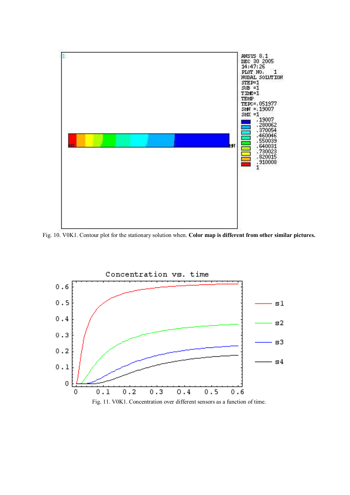

Fig. 10. V0K1. Contour plot for the stationary solution when. **Color map is different from other similar pictures.**

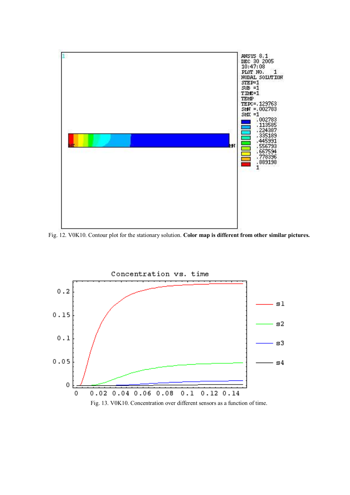

Fig. 12. V0K10. Contour plot for the stationary solution. **Color map is different from other similar pictures.**

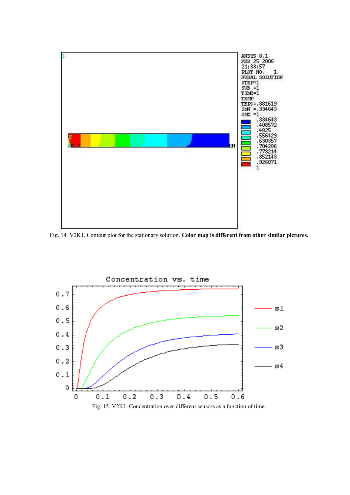

Fig. 14. V2K1. Contour plot for the stationary solution. **Color map is different from other similar pictures.**

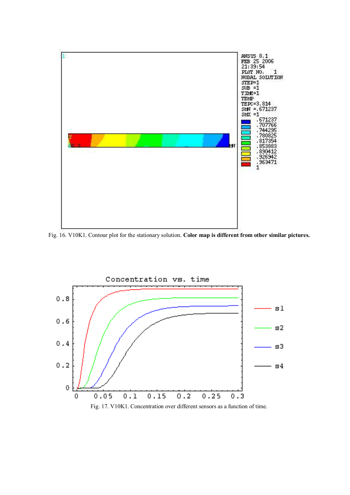

Fig. 16. V10K1. Contour plot for the stationary solution. **Color map is different from other similar pictures.**